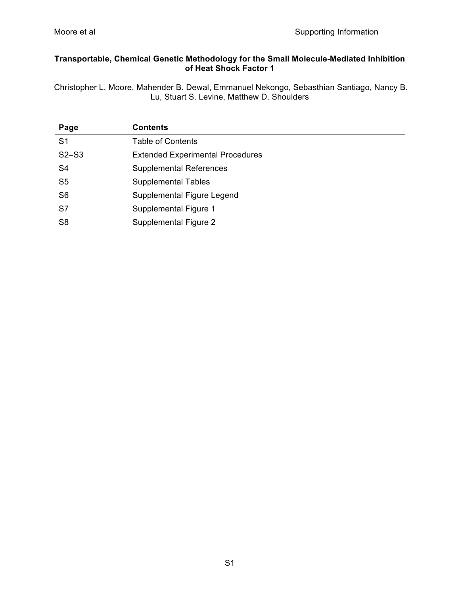### **Transportable, Chemical Genetic Methodology for the Small Molecule-Mediated Inhibition of Heat Shock Factor 1**

Christopher L. Moore, Mahender B. Dewal, Emmanuel Nekongo, Sebasthian Santiago, Nancy B. Lu, Stuart S. Levine, Matthew D. Shoulders

| Page           | <b>Contents</b>                         |
|----------------|-----------------------------------------|
| S <sub>1</sub> | <b>Table of Contents</b>                |
| $S2-S3$        | <b>Extended Experimental Procedures</b> |
| S <sub>4</sub> | <b>Supplemental References</b>          |
| S <sub>5</sub> | <b>Supplemental Tables</b>              |
| S <sub>6</sub> | Supplemental Figure Legend              |
| S7             | Supplemental Figure 1                   |
| S <sub>8</sub> | Supplemental Figure 2                   |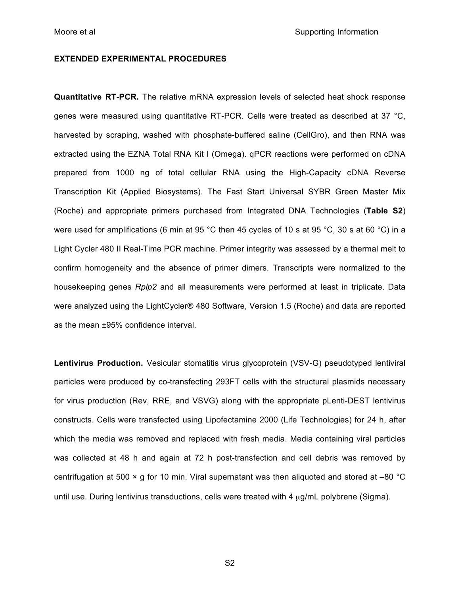#### **EXTENDED EXPERIMENTAL PROCEDURES**

**Quantitative RT-PCR.** The relative mRNA expression levels of selected heat shock response genes were measured using quantitative RT-PCR. Cells were treated as described at 37 °C, harvested by scraping, washed with phosphate-buffered saline (CellGro), and then RNA was extracted using the EZNA Total RNA Kit I (Omega). qPCR reactions were performed on cDNA prepared from 1000 ng of total cellular RNA using the High-Capacity cDNA Reverse Transcription Kit (Applied Biosystems). The Fast Start Universal SYBR Green Master Mix (Roche) and appropriate primers purchased from Integrated DNA Technologies (**Table S2**) were used for amplifications (6 min at 95 °C then 45 cycles of 10 s at 95 °C, 30 s at 60 °C) in a Light Cycler 480 II Real-Time PCR machine. Primer integrity was assessed by a thermal melt to confirm homogeneity and the absence of primer dimers. Transcripts were normalized to the housekeeping genes *Rplp2* and all measurements were performed at least in triplicate. Data were analyzed using the LightCycler® 480 Software, Version 1.5 (Roche) and data are reported as the mean ±95% confidence interval.

**Lentivirus Production.** Vesicular stomatitis virus glycoprotein (VSV-G) pseudotyped lentiviral particles were produced by co-transfecting 293FT cells with the structural plasmids necessary for virus production (Rev, RRE, and VSVG) along with the appropriate pLenti-DEST lentivirus constructs. Cells were transfected using Lipofectamine 2000 (Life Technologies) for 24 h, after which the media was removed and replaced with fresh media. Media containing viral particles was collected at 48 h and again at 72 h post-transfection and cell debris was removed by centrifugation at 500 × g for 10 min. Viral supernatant was then aliquoted and stored at –80 °C until use. During lentivirus transductions, cells were treated with 4 ug/mL polybrene (Sigma).

S2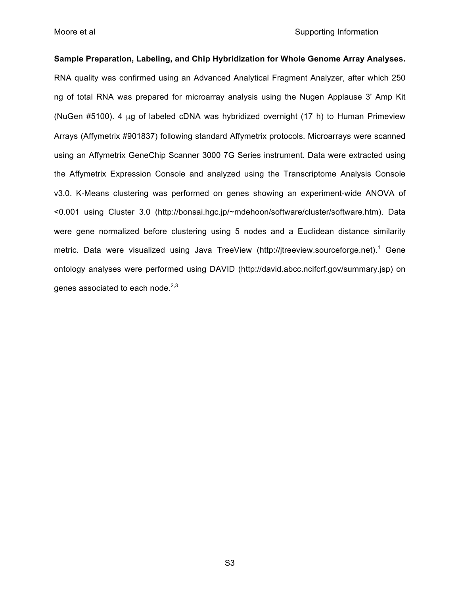**Sample Preparation, Labeling, and Chip Hybridization for Whole Genome Array Analyses.** RNA quality was confirmed using an Advanced Analytical Fragment Analyzer, after which 250 ng of total RNA was prepared for microarray analysis using the Nugen Applause 3ʹ Amp Kit (NuGen #5100). 4 µg of labeled cDNA was hybridized overnight (17 h) to Human Primeview Arrays (Affymetrix #901837) following standard Affymetrix protocols. Microarrays were scanned using an Affymetrix GeneChip Scanner 3000 7G Series instrument. Data were extracted using the Affymetrix Expression Console and analyzed using the Transcriptome Analysis Console v3.0. K-Means clustering was performed on genes showing an experiment-wide ANOVA of <0.001 using Cluster 3.0 (http://bonsai.hgc.jp/~mdehoon/software/cluster/software.htm). Data were gene normalized before clustering using 5 nodes and a Euclidean distance similarity metric. Data were visualized using Java TreeView (http://jtreeview.sourceforge.net).<sup>1</sup> Gene ontology analyses were performed using DAVID (http://david.abcc.ncifcrf.gov/summary.jsp) on genes associated to each node. $2,3$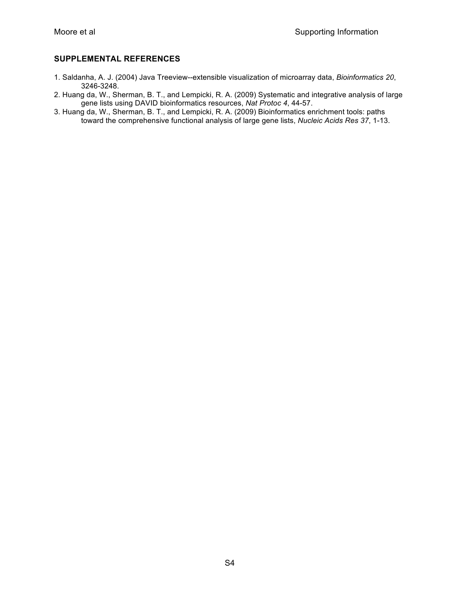### **SUPPLEMENTAL REFERENCES**

- 1. Saldanha, A. J. (2004) Java Treeview--extensible visualization of microarray data, *Bioinformatics 20*, 3246-3248.
- 2. Huang da, W., Sherman, B. T., and Lempicki, R. A. (2009) Systematic and integrative analysis of large gene lists using DAVID bioinformatics resources, *Nat Protoc 4*, 44-57.
- 3. Huang da, W., Sherman, B. T., and Lempicki, R. A. (2009) Bioinformatics enrichment tools: paths toward the comprehensive functional analysis of large gene lists, *Nucleic Acids Res 37*, 1-13.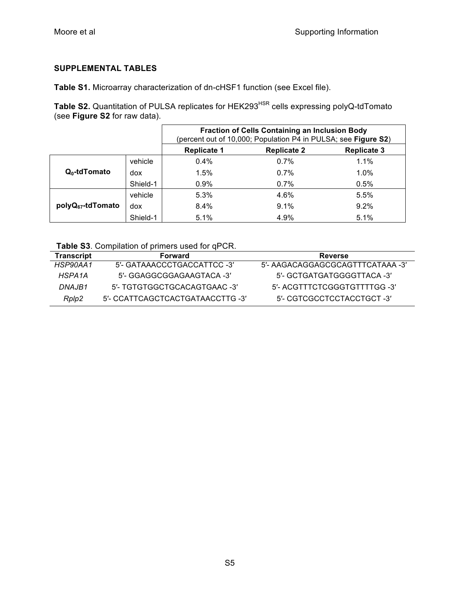# **SUPPLEMENTAL TABLES**

**Table S1.** Microarray characterization of dn-cHSF1 function (see Excel file).

Table S2. Quantitation of PULSA replicates for HEK293<sup>HSR</sup> cells expressing polyQ-tdTomato (see **Figure S2** for raw data).

|                               |          | <b>Fraction of Cells Containing an Inclusion Body</b><br>(percent out of 10,000; Population P4 in PULSA; see Figure S2) |                    |                    |  |
|-------------------------------|----------|-------------------------------------------------------------------------------------------------------------------------|--------------------|--------------------|--|
|                               |          | <b>Replicate 1</b>                                                                                                      | <b>Replicate 2</b> | <b>Replicate 3</b> |  |
| $Q_0$ -td $T$ omato           | vehicle  | 0.4%                                                                                                                    | 0.7%               | 1.1%               |  |
|                               | dox      | 1.5%                                                                                                                    | 0.7%               | $1.0\%$            |  |
|                               | Shield-1 | 0.9%                                                                                                                    | 0.7%               | 0.5%               |  |
| polyQ <sub>67</sub> -tdTomato | vehicle  | 5.3%                                                                                                                    | 4.6%               | 5.5%               |  |
|                               | dox      | 8.4%                                                                                                                    | 9.1%               | 9.2%               |  |
|                               | Shield-1 | 5.1%                                                                                                                    | 4.9%               | 5.1%               |  |

| Table S3. Compilation of primers used for qPCR. |  |  |  |  |  |
|-------------------------------------------------|--|--|--|--|--|
|-------------------------------------------------|--|--|--|--|--|

| <b>Transcript</b> | Forward                          | <b>Reverse</b>                   |
|-------------------|----------------------------------|----------------------------------|
| HSP90AA1          | 5'- GATAAACCCTGACCATTCC -3'      | 5'- AAGACAGGAGCGCAGTTTCATAAA -3' |
| HSPA1A            | 5'- GGAGGCGGAGAAGTACA -3'        | 5'- GCTGATGATGGGGTTACA -3'       |
| DNAJB1            | 5'- TGTGTGGCTGCACAGTGAAC -3'     | 5'- ACGTTTCTCGGGTGTTTTGG -3'     |
| Rplp2             | 5'- CCATTCAGCTCACTGATAACCTTG -3' | 5'- CGTCGCCTCCTACCTGCT -3'       |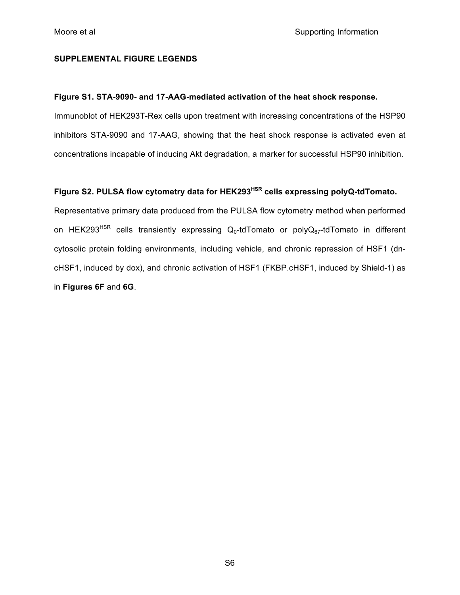#### **SUPPLEMENTAL FIGURE LEGENDS**

### **Figure S1. STA-9090- and 17-AAG-mediated activation of the heat shock response.**

Immunoblot of HEK293T-Rex cells upon treatment with increasing concentrations of the HSP90 inhibitors STA-9090 and 17-AAG, showing that the heat shock response is activated even at concentrations incapable of inducing Akt degradation, a marker for successful HSP90 inhibition.

## **Figure S2. PULSA flow cytometry data for HEK293HSR cells expressing polyQ-tdTomato.**

Representative primary data produced from the PULSA flow cytometry method when performed on HEK293<sup>HSR</sup> cells transiently expressing  $Q_0$ -tdTomato or poly $Q_{67}$ -tdTomato in different cytosolic protein folding environments, including vehicle, and chronic repression of HSF1 (dncHSF1, induced by dox), and chronic activation of HSF1 (FKBP.cHSF1, induced by Shield-1) as in **Figures 6F** and **6G**.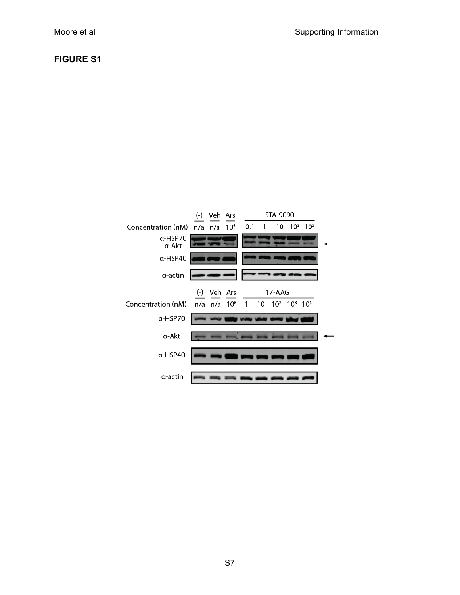# **FIGURE S1**